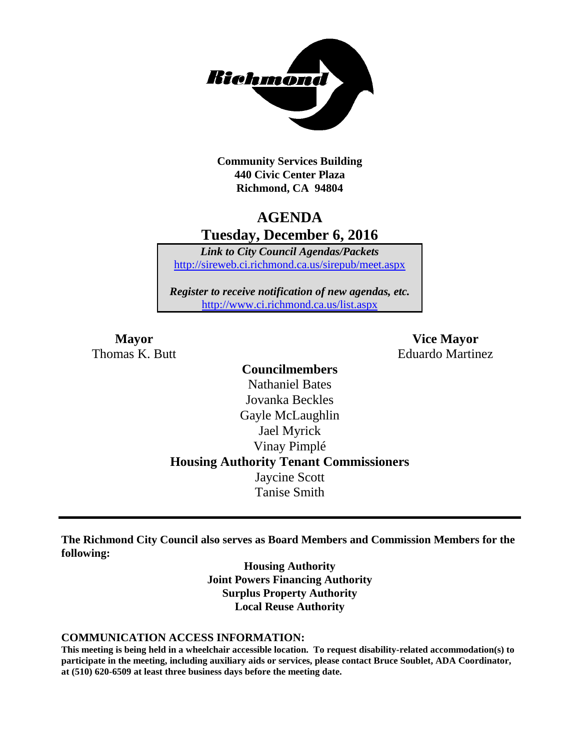

**Community Services Building 440 Civic Center Plaza Richmond, CA 94804**

## **AGENDA Tuesday, December 6, 2016**

*Link to City Council Agendas/Packets* <http://sireweb.ci.richmond.ca.us/sirepub/meet.aspx>

*Register to receive notification of new agendas, etc.* <http://www.ci.richmond.ca.us/list.aspx>

**Mayor Vice Mayor** Thomas K. Butt **Eduardo Martinez** 

### **Councilmembers** Nathaniel Bates Jovanka Beckles Gayle McLaughlin Jael Myrick Vinay Pimplé **Housing Authority Tenant Commissioners** Jaycine Scott Tanise Smith

**The Richmond City Council also serves as Board Members and Commission Members for the following:**

> **Housing Authority Joint Powers Financing Authority Surplus Property Authority Local Reuse Authority**

#### **COMMUNICATION ACCESS INFORMATION:**

**This meeting is being held in a wheelchair accessible location. To request disability-related accommodation(s) to participate in the meeting, including auxiliary aids or services, please contact Bruce Soublet, ADA Coordinator, at (510) 620-6509 at least three business days before the meeting date.**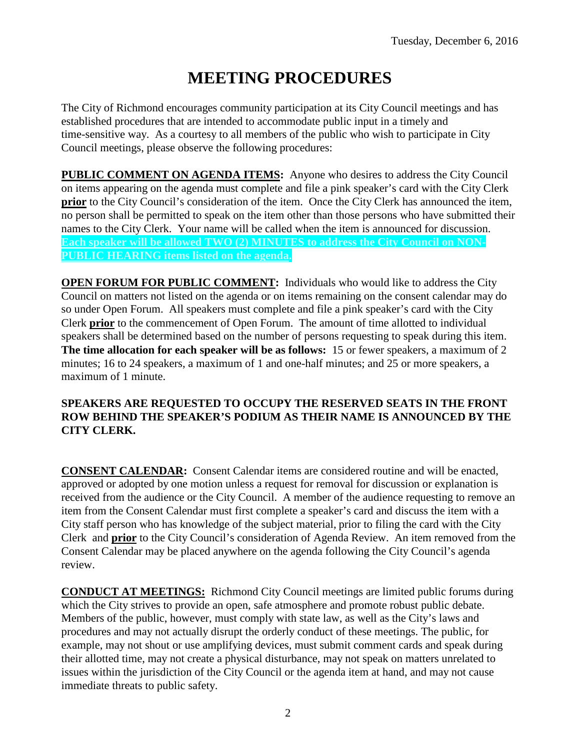# **MEETING PROCEDURES**

The City of Richmond encourages community participation at its City Council meetings and has established procedures that are intended to accommodate public input in a timely and time-sensitive way. As a courtesy to all members of the public who wish to participate in City Council meetings, please observe the following procedures:

**PUBLIC COMMENT ON AGENDA ITEMS:** Anyone who desires to address the City Council on items appearing on the agenda must complete and file a pink speaker's card with the City Clerk **prior** to the City Council's consideration of the item. Once the City Clerk has announced the item, no person shall be permitted to speak on the item other than those persons who have submitted their names to the City Clerk. Your name will be called when the item is announced for discussion. **Each speaker will be allowed TWO (2) MINUTES to address the City Council on NON-PUBLIC HEARING items listed on the agenda.**

**OPEN FORUM FOR PUBLIC COMMENT:** Individuals who would like to address the City Council on matters not listed on the agenda or on items remaining on the consent calendar may do so under Open Forum. All speakers must complete and file a pink speaker's card with the City Clerk **prior** to the commencement of Open Forum. The amount of time allotted to individual speakers shall be determined based on the number of persons requesting to speak during this item. **The time allocation for each speaker will be as follows:** 15 or fewer speakers, a maximum of 2 minutes; 16 to 24 speakers, a maximum of 1 and one-half minutes; and 25 or more speakers, a maximum of 1 minute.

#### **SPEAKERS ARE REQUESTED TO OCCUPY THE RESERVED SEATS IN THE FRONT ROW BEHIND THE SPEAKER'S PODIUM AS THEIR NAME IS ANNOUNCED BY THE CITY CLERK.**

**CONSENT CALENDAR:** Consent Calendar items are considered routine and will be enacted, approved or adopted by one motion unless a request for removal for discussion or explanation is received from the audience or the City Council. A member of the audience requesting to remove an item from the Consent Calendar must first complete a speaker's card and discuss the item with a City staff person who has knowledge of the subject material, prior to filing the card with the City Clerk and **prior** to the City Council's consideration of Agenda Review. An item removed from the Consent Calendar may be placed anywhere on the agenda following the City Council's agenda review.

**CONDUCT AT MEETINGS:** Richmond City Council meetings are limited public forums during which the City strives to provide an open, safe atmosphere and promote robust public debate. Members of the public, however, must comply with state law, as well as the City's laws and procedures and may not actually disrupt the orderly conduct of these meetings. The public, for example, may not shout or use amplifying devices, must submit comment cards and speak during their allotted time, may not create a physical disturbance, may not speak on matters unrelated to issues within the jurisdiction of the City Council or the agenda item at hand, and may not cause immediate threats to public safety.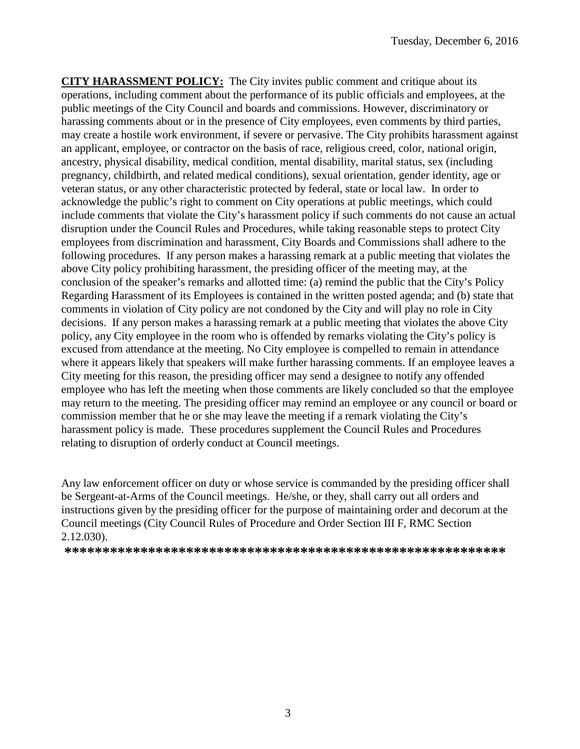**CITY HARASSMENT POLICY:** The City invites public comment and critique about its operations, including comment about the performance of its public officials and employees, at the public meetings of the City Council and boards and commissions. However, discriminatory or harassing comments about or in the presence of City employees, even comments by third parties, may create a hostile work environment, if severe or pervasive. The City prohibits harassment against an applicant, employee, or contractor on the basis of race, religious creed, color, national origin, ancestry, physical disability, medical condition, mental disability, marital status, sex (including pregnancy, childbirth, and related medical conditions), sexual orientation, gender identity, age or veteran status, or any other characteristic protected by federal, state or local law. In order to acknowledge the public's right to comment on City operations at public meetings, which could include comments that violate the City's harassment policy if such comments do not cause an actual disruption under the Council Rules and Procedures, while taking reasonable steps to protect City employees from discrimination and harassment, City Boards and Commissions shall adhere to the following procedures. If any person makes a harassing remark at a public meeting that violates the above City policy prohibiting harassment, the presiding officer of the meeting may, at the conclusion of the speaker's remarks and allotted time: (a) remind the public that the City's Policy Regarding Harassment of its Employees is contained in the written posted agenda; and (b) state that comments in violation of City policy are not condoned by the City and will play no role in City decisions. If any person makes a harassing remark at a public meeting that violates the above City policy, any City employee in the room who is offended by remarks violating the City's policy is excused from attendance at the meeting. No City employee is compelled to remain in attendance where it appears likely that speakers will make further harassing comments. If an employee leaves a City meeting for this reason, the presiding officer may send a designee to notify any offended employee who has left the meeting when those comments are likely concluded so that the employee may return to the meeting. The presiding officer may remind an employee or any council or board or commission member that he or she may leave the meeting if a remark violating the City's harassment policy is made. These procedures supplement the Council Rules and Procedures relating to disruption of orderly conduct at Council meetings.

Any law enforcement officer on duty or whose service is commanded by the presiding officer shall be Sergeant-at-Arms of the Council meetings. He/she, or they, shall carry out all orders and instructions given by the presiding officer for the purpose of maintaining order and decorum at the Council meetings (City Council Rules of Procedure and Order Section III F, RMC Section 2.12.030).

**\*\*\*\*\*\*\*\*\*\*\*\*\*\*\*\*\*\*\*\*\*\*\*\*\*\*\*\*\*\*\*\*\*\*\*\*\*\*\*\*\*\*\*\*\*\*\*\*\*\*\*\*\*\*\*\*\*\***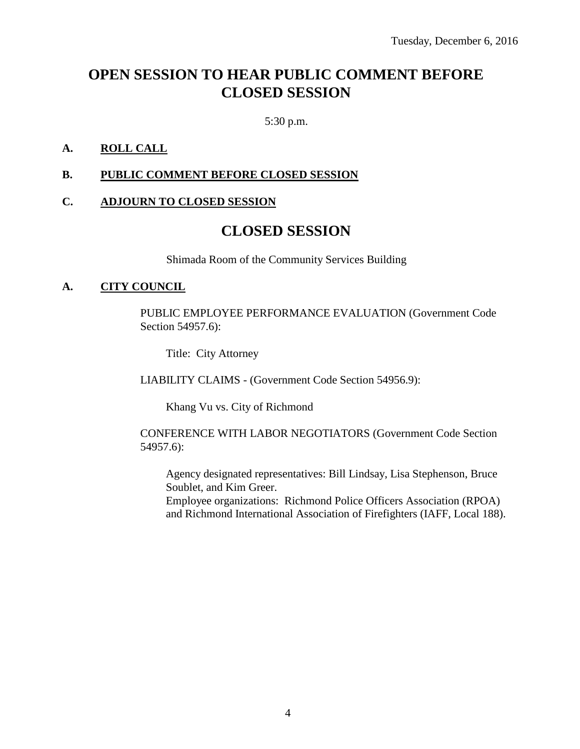# **OPEN SESSION TO HEAR PUBLIC COMMENT BEFORE CLOSED SESSION**

5:30 p.m.

#### **A. ROLL CALL**

#### **B. PUBLIC COMMENT BEFORE CLOSED SESSION**

#### **C. ADJOURN TO CLOSED SESSION**

### **CLOSED SESSION**

Shimada Room of the Community Services Building

#### **A. CITY COUNCIL**

PUBLIC EMPLOYEE PERFORMANCE EVALUATION (Government Code Section 54957.6):

Title: City Attorney

LIABILITY CLAIMS - (Government Code Section 54956.9):

Khang Vu vs. City of Richmond

CONFERENCE WITH LABOR NEGOTIATORS (Government Code Section 54957.6):

Agency designated representatives: Bill Lindsay, Lisa Stephenson, Bruce Soublet, and Kim Greer.

Employee organizations: Richmond Police Officers Association (RPOA) and Richmond International Association of Firefighters (IAFF, Local 188).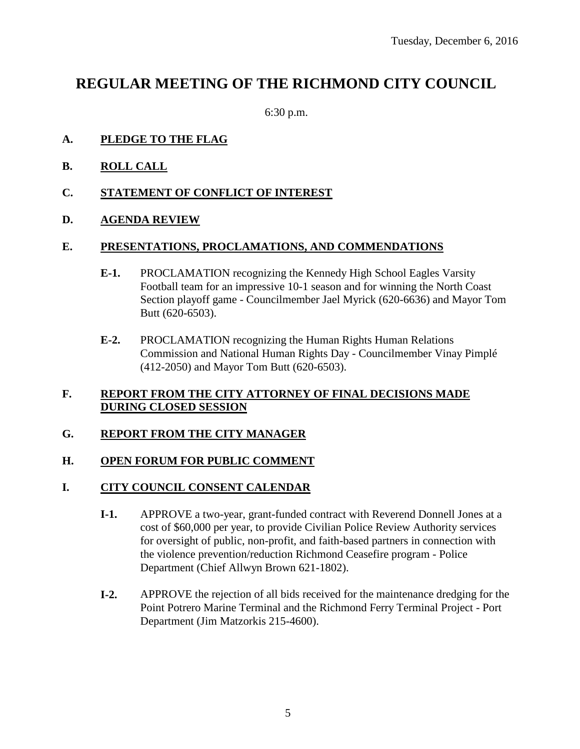### **REGULAR MEETING OF THE RICHMOND CITY COUNCIL**

6:30 p.m.

#### **A. PLEDGE TO THE FLAG**

- **B. ROLL CALL**
- **C. STATEMENT OF CONFLICT OF INTEREST**
- **D. AGENDA REVIEW**

#### **E. PRESENTATIONS, PROCLAMATIONS, AND COMMENDATIONS**

- **E-1.** PROCLAMATION recognizing the Kennedy High School Eagles Varsity Football team for an impressive 10-1 season and for winning the North Coast Section playoff game - Councilmember Jael Myrick (620-6636) and Mayor Tom Butt (620-6503).
- **E-2.** PROCLAMATION recognizing the Human Rights Human Relations Commission and National Human Rights Day - Councilmember Vinay Pimplé (412-2050) and Mayor Tom Butt (620-6503).

#### **F. REPORT FROM THE CITY ATTORNEY OF FINAL DECISIONS MADE DURING CLOSED SESSION**

#### **G. REPORT FROM THE CITY MANAGER**

#### **H. OPEN FORUM FOR PUBLIC COMMENT**

#### **I. CITY COUNCIL CONSENT CALENDAR**

- **I-1.** APPROVE a two-year, grant-funded contract with Reverend Donnell Jones at a cost of \$60,000 per year, to provide Civilian Police Review Authority services for oversight of public, non-profit, and faith-based partners in connection with the violence prevention/reduction Richmond Ceasefire program - Police Department (Chief Allwyn Brown 621-1802).
- **I-2.** APPROVE the rejection of all bids received for the maintenance dredging for the Point Potrero Marine Terminal and the Richmond Ferry Terminal Project - Port Department (Jim Matzorkis 215-4600).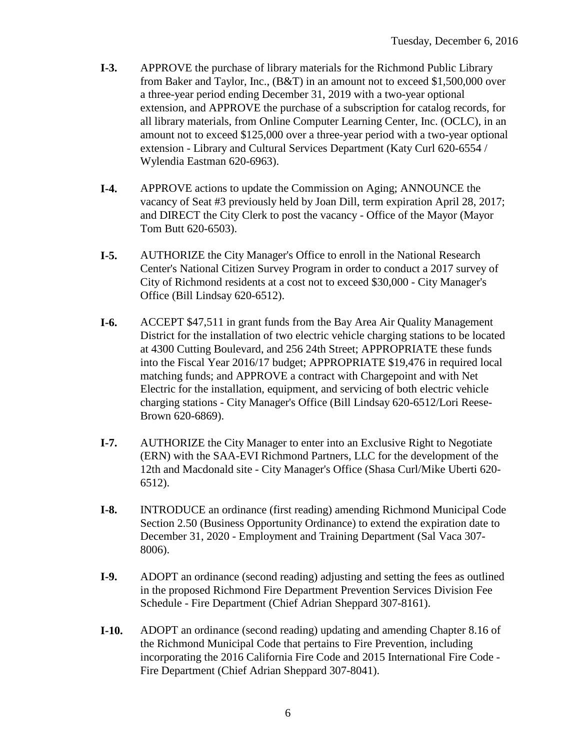- **I-3.** APPROVE the purchase of library materials for the Richmond Public Library from Baker and Taylor, Inc., (B&T) in an amount not to exceed \$1,500,000 over a three-year period ending December 31, 2019 with a two-year optional extension, and APPROVE the purchase of a subscription for catalog records, for all library materials, from Online Computer Learning Center, Inc. (OCLC), in an amount not to exceed \$125,000 over a three-year period with a two-year optional extension - Library and Cultural Services Department (Katy Curl 620-6554 / Wylendia Eastman 620-6963).
- **I-4.** APPROVE actions to update the Commission on Aging; ANNOUNCE the vacancy of Seat #3 previously held by Joan Dill, term expiration April 28, 2017; and DIRECT the City Clerk to post the vacancy - Office of the Mayor (Mayor Tom Butt 620-6503).
- **I-5.** AUTHORIZE the City Manager's Office to enroll in the National Research Center's National Citizen Survey Program in order to conduct a 2017 survey of City of Richmond residents at a cost not to exceed \$30,000 - City Manager's Office (Bill Lindsay 620-6512).
- **I-6.** ACCEPT \$47,511 in grant funds from the Bay Area Air Quality Management District for the installation of two electric vehicle charging stations to be located at 4300 Cutting Boulevard, and 256 24th Street; APPROPRIATE these funds into the Fiscal Year 2016/17 budget; APPROPRIATE \$19,476 in required local matching funds; and APPROVE a contract with Chargepoint and with Net Electric for the installation, equipment, and servicing of both electric vehicle charging stations - City Manager's Office (Bill Lindsay 620-6512/Lori Reese-Brown 620-6869).
- **I-7.** AUTHORIZE the City Manager to enter into an Exclusive Right to Negotiate (ERN) with the SAA-EVI Richmond Partners, LLC for the development of the 12th and Macdonald site - City Manager's Office (Shasa Curl/Mike Uberti 620- 6512).
- **I-8.** INTRODUCE an ordinance (first reading) amending Richmond Municipal Code Section 2.50 (Business Opportunity Ordinance) to extend the expiration date to December 31, 2020 - Employment and Training Department (Sal Vaca 307- 8006).
- **I-9.** ADOPT an ordinance (second reading) adjusting and setting the fees as outlined in the proposed Richmond Fire Department Prevention Services Division Fee Schedule - Fire Department (Chief Adrian Sheppard 307-8161).
- **I-10.** ADOPT an ordinance (second reading) updating and amending Chapter 8.16 of the Richmond Municipal Code that pertains to Fire Prevention, including incorporating the 2016 California Fire Code and 2015 International Fire Code - Fire Department (Chief Adrian Sheppard 307-8041).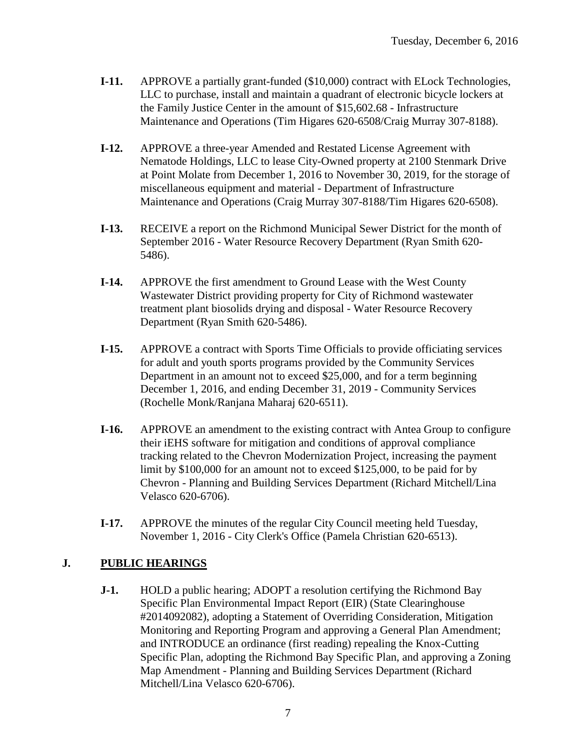- **I-11.** APPROVE a partially grant-funded (\$10,000) contract with ELock Technologies, LLC to purchase, install and maintain a quadrant of electronic bicycle lockers at the Family Justice Center in the amount of \$15,602.68 - Infrastructure Maintenance and Operations (Tim Higares 620-6508/Craig Murray 307-8188).
- **I-12.** APPROVE a three-year Amended and Restated License Agreement with Nematode Holdings, LLC to lease City-Owned property at 2100 Stenmark Drive at Point Molate from December 1, 2016 to November 30, 2019, for the storage of miscellaneous equipment and material - Department of Infrastructure Maintenance and Operations (Craig Murray 307-8188/Tim Higares 620-6508).
- **I-13.** RECEIVE a report on the Richmond Municipal Sewer District for the month of September 2016 - Water Resource Recovery Department (Ryan Smith 620- 5486).
- **I-14.** APPROVE the first amendment to Ground Lease with the West County Wastewater District providing property for City of Richmond wastewater treatment plant biosolids drying and disposal - Water Resource Recovery Department (Ryan Smith 620-5486).
- **I-15.** APPROVE a contract with Sports Time Officials to provide officiating services for adult and youth sports programs provided by the Community Services Department in an amount not to exceed \$25,000, and for a term beginning December 1, 2016, and ending December 31, 2019 - Community Services (Rochelle Monk/Ranjana Maharaj 620-6511).
- **I-16.** APPROVE an amendment to the existing contract with Antea Group to configure their iEHS software for mitigation and conditions of approval compliance tracking related to the Chevron Modernization Project, increasing the payment limit by \$100,000 for an amount not to exceed \$125,000, to be paid for by Chevron - Planning and Building Services Department (Richard Mitchell/Lina Velasco 620-6706).
- **I-17.** APPROVE the minutes of the regular City Council meeting held Tuesday, November 1, 2016 - City Clerk's Office (Pamela Christian 620-6513).

#### **J. PUBLIC HEARINGS**

**J-1.** HOLD a public hearing; ADOPT a resolution certifying the Richmond Bay Specific Plan Environmental Impact Report (EIR) (State Clearinghouse #2014092082), adopting a Statement of Overriding Consideration, Mitigation Monitoring and Reporting Program and approving a General Plan Amendment; and INTRODUCE an ordinance (first reading) repealing the Knox-Cutting Specific Plan, adopting the Richmond Bay Specific Plan, and approving a Zoning Map Amendment - Planning and Building Services Department (Richard Mitchell/Lina Velasco 620-6706).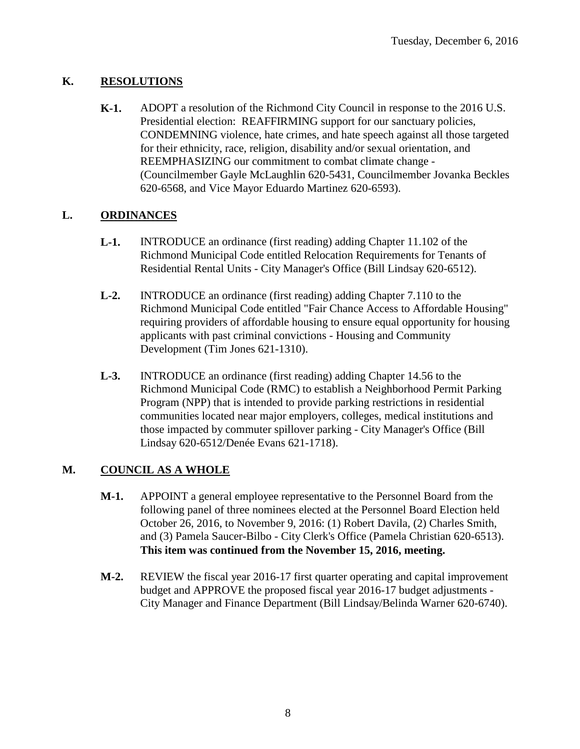#### **K. RESOLUTIONS**

**K-1.** ADOPT a resolution of the Richmond City Council in response to the 2016 U.S. Presidential election: REAFFIRMING support for our sanctuary policies, CONDEMNING violence, hate crimes, and hate speech against all those targeted for their ethnicity, race, religion, disability and/or sexual orientation, and REEMPHASIZING our commitment to combat climate change - (Councilmember Gayle McLaughlin 620-5431, Councilmember Jovanka Beckles 620-6568, and Vice Mayor Eduardo Martinez 620-6593).

#### **L. ORDINANCES**

- **L-1.** INTRODUCE an ordinance (first reading) adding Chapter 11.102 of the Richmond Municipal Code entitled Relocation Requirements for Tenants of Residential Rental Units - City Manager's Office (Bill Lindsay 620-6512).
- **L-2.** INTRODUCE an ordinance (first reading) adding Chapter 7.110 to the Richmond Municipal Code entitled "Fair Chance Access to Affordable Housing" requiring providers of affordable housing to ensure equal opportunity for housing applicants with past criminal convictions - Housing and Community Development (Tim Jones 621-1310).
- **L-3.** INTRODUCE an ordinance (first reading) adding Chapter 14.56 to the Richmond Municipal Code (RMC) to establish a Neighborhood Permit Parking Program (NPP) that is intended to provide parking restrictions in residential communities located near major employers, colleges, medical institutions and those impacted by commuter spillover parking - City Manager's Office (Bill Lindsay 620-6512/Denée Evans 621-1718).

#### **M. COUNCIL AS A WHOLE**

- **M-1.** APPOINT a general employee representative to the Personnel Board from the following panel of three nominees elected at the Personnel Board Election held October 26, 2016, to November 9, 2016: (1) Robert Davila, (2) Charles Smith, and (3) Pamela Saucer-Bilbo - City Clerk's Office (Pamela Christian 620-6513). **This item was continued from the November 15, 2016, meeting.**
- **M-2.** REVIEW the fiscal year 2016-17 first quarter operating and capital improvement budget and APPROVE the proposed fiscal year 2016-17 budget adjustments - City Manager and Finance Department (Bill Lindsay/Belinda Warner 620-6740).